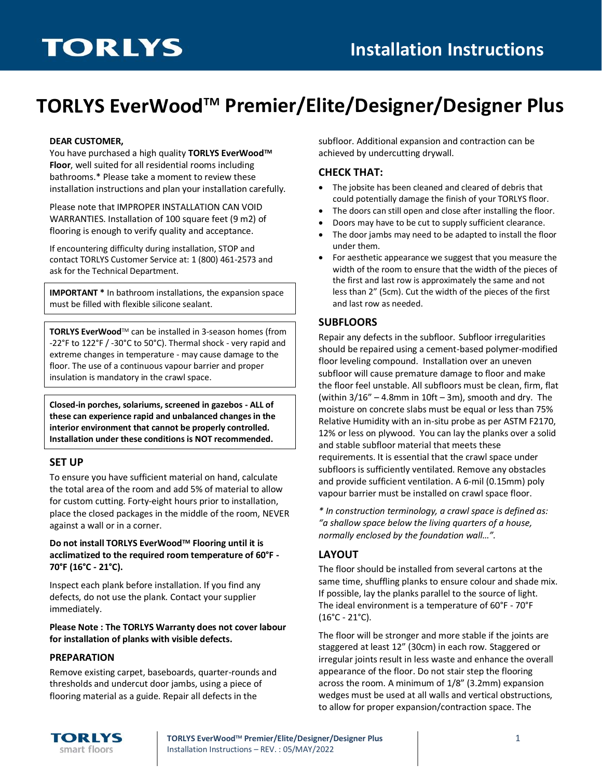# **TORLYS EverWoodTM Premier/Elite/Designer/Designer Plus**

#### **DEAR CUSTOMER,**

You have purchased a high quality **TORLYS EverWoodTM Floor**, well suited for all residential rooms including bathrooms.\* Please take a moment to review these installation instructions and plan your installation carefully.

Please note that IMPROPER INSTALLATION CAN VOID WARRANTIES. Installation of 100 square feet (9 m2) of flooring is enough to verify quality and acceptance.

If encountering difficulty during installation, STOP and contact TORLYS Customer Service at: 1 (800) 461-2573 and ask for the Technical Department.

**IMPORTANT \*** In bathroom installations, the expansion space must be filled with flexible silicone sealant.

**TORLYS EverWood**TM can be installed in 3-season homes (from -22°F to 122°F / -30°C to 50°C). Thermal shock - very rapid and extreme changes in temperature - may cause damage to the floor. The use of a continuous vapour barrier and proper insulation is mandatory in the crawl space.

**Closed-in porches, solariums, screened in gazebos - ALL of these can experience rapid and unbalanced changes in the interior environment that cannot be properly controlled. Installation under these conditions is NOT recommended.**

#### **SET UP**

To ensure you have sufficient material on hand, calculate the total area of the room and add 5% of material to allow for custom cutting. Forty-eight hours prior to installation, place the closed packages in the middle of the room, NEVER against a wall or in a corner.

#### **Do not install TORLYS EverWoodTM Flooring until it is acclimatized to the required room temperature of 60°F - 70°F (16°C - 21°C).**

Inspect each plank before installation. If you find any defects, do not use the plank. Contact your supplier immediately.

**Please Note : The TORLYS Warranty does not cover labour for installation of planks with visible defects.**

#### **PREPARATION**

Remove existing carpet, baseboards, quarter-rounds and thresholds and undercut door jambs, using a piece of flooring material as a guide. Repair all defects in the

subfloor. Additional expansion and contraction can be achieved by undercutting drywall.

#### **CHECK THAT:**

- The jobsite has been cleaned and cleared of debris that could potentially damage the finish of your TORLYS floor.
- The doors can still open and close after installing the floor.
- Doors may have to be cut to supply sufficient clearance.
- The door jambs may need to be adapted to install the floor under them.
- For aesthetic appearance we suggest that you measure the width of the room to ensure that the width of the pieces of the first and last row is approximately the same and not less than 2" (5cm). Cut the width of the pieces of the first and last row as needed.

#### **SUBFLOORS**

Repair any defects in the subfloor. Subfloor irregularities should be repaired using a cement-based polymer-modified floor leveling compound. Installation over an uneven subfloor will cause premature damage to floor and make the floor feel unstable. All subfloors must be clean, firm, flat (within  $3/16'' - 4.8$ mm in  $10ft - 3m$ ), smooth and dry. The moisture on concrete slabs must be equal or less than 75% Relative Humidity with an in-situ probe as per ASTM F2170, 12% or less on plywood. You can lay the planks over a solid and stable subfloor material that meets these requirements. It is essential that the crawl space under subfloors is sufficiently ventilated. Remove any obstacles and provide sufficient ventilation. A 6-mil (0.15mm) poly vapour barrier must be installed on crawl space floor.

*\* In construction terminology, a crawl space is defined as: "a shallow space below the living quarters of a house, normally enclosed by the foundation wall…".*

#### **LAYOUT**

The floor should be installed from several cartons at the same time, shuffling planks to ensure colour and shade mix. If possible, lay the planks parallel to the source of light. The ideal environment is a temperature of 60°F - 70°F (16°C - 21°C).

The floor will be stronger and more stable if the joints are staggered at least 12" (30cm) in each row. Staggered or irregular joints result in less waste and enhance the overall appearance of the floor. Do not stair step the flooring across the room. A minimum of 1/8" (3.2mm) expansion wedges must be used at all walls and vertical obstructions, to allow for proper expansion/contraction space. The



**TORLYS EverWoodTM Premier/Elite/Designer/Designer Plus** 1 Installation Instructions – REV. : 05/MAY/2022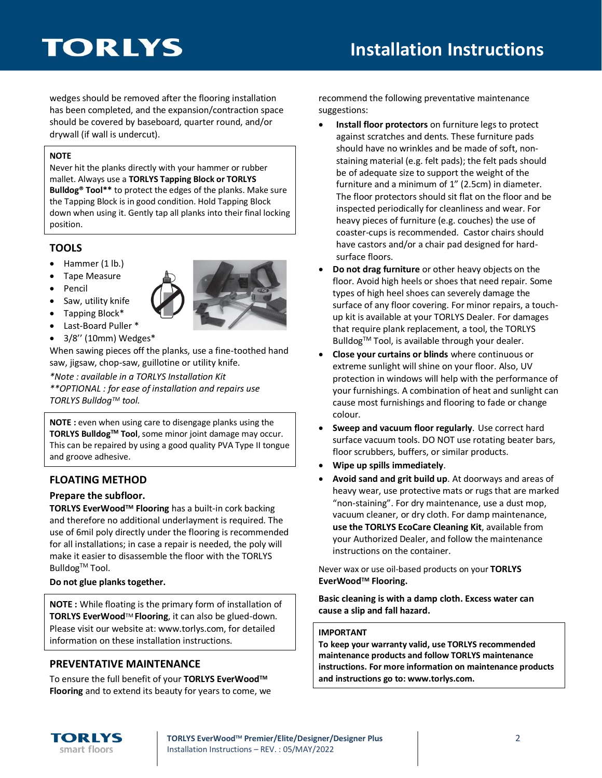wedges should be removed after the flooring installation has been completed, and the expansion/contraction space should be covered by baseboard, quarter round, and/or drywall (if wall is undercut).

#### **NOTE**

Never hit the planks directly with your hammer or rubber mallet. Always use a **TORLYS Tapping Block or TORLYS Bulldog® Tool\*\*** to protect the edges of the planks. Make sure the Tapping Block is in good condition. Hold Tapping Block down when using it. Gently tap all planks into their final locking position.

# **TOOLS**

- Hammer (1 lb.)
- Tape Measure
- Pencil
- Saw, utility knife



- Last-Board Puller \*
- 3/8'' (10mm) Wedges\*

When sawing pieces off the planks, use a fine-toothed hand saw, jigsaw, chop-saw, guillotine or utility knife.

*\*Note : available in a TORLYS Installation Kit*

*\*\*OPTIONAL : for ease of installation and repairs use TORLYS BulldogTM tool.*

**NOTE :** even when using care to disengage planks using the **TORLYS BulldogTM Tool**, some minor joint damage may occur. This can be repaired by using a good quality PVA Type II tongue and groove adhesive.

# **FLOATING METHOD**

#### **Prepare the subfloor.**

**TORLYS EverWoodTM Flooring** has a built-in cork backing and therefore no additional underlayment is required. The use of 6mil poly directly under the flooring is recommended for all installations; in case a repair is needed, the poly will make it easier to disassemble the floor with the TORLYS Bulldog<sup>™</sup> Tool.

#### **Do not glue planks together.**

**NOTE :** While floating is the primary form of installation of **TORLYS EverWood**TM **Flooring**, it can also be glued-down. Please visit our website at: www.torlys.com, for detailed information on these installation instructions.

# **PREVENTATIVE MAINTENANCE**

To ensure the full benefit of your **TORLYS EverWoodTM Flooring** and to extend its beauty for years to come, we recommend the following preventative maintenance suggestions:

- **Install floor protectors** on furniture legs to protect against scratches and dents. These furniture pads should have no wrinkles and be made of soft, nonstaining material (e.g. felt pads); the felt pads should be of adequate size to support the weight of the furniture and a minimum of 1" (2.5cm) in diameter. The floor protectors should sit flat on the floor and be inspected periodically for cleanliness and wear. For heavy pieces of furniture (e.g. couches) the use of coaster-cups is recommended. Castor chairs should have castors and/or a chair pad designed for hardsurface floors.
- **Do not drag furniture** or other heavy objects on the floor. Avoid high heels or shoes that need repair. Some types of high heel shoes can severely damage the surface of any floor covering. For minor repairs, a touchup kit is available at your TORLYS Dealer. For damages that require plank replacement, a tool, the TORLYS Bulldog<sup>™</sup> Tool, is available through your dealer.
- **Close your curtains or blinds** where continuous or extreme sunlight will shine on your floor. Also, UV protection in windows will help with the performance of your furnishings. A combination of heat and sunlight can cause most furnishings and flooring to fade or change colour.
- **Sweep and vacuum floor regularly**. Use correct hard surface vacuum tools. DO NOT use rotating beater bars, floor scrubbers, buffers, or similar products.
- **Wipe up spills immediately**.
- **Avoid sand and grit build up**. At doorways and areas of heavy wear, use protective mats or rugs that are marked "non-staining". For dry maintenance, use a dust mop, vacuum cleaner, or dry cloth. For damp maintenance, **use the TORLYS EcoCare Cleaning Kit**, available from your Authorized Dealer, and follow the maintenance instructions on the container.

Never wax or use oil-based products on your **TORLYS EverWoodTM Flooring.**

**Basic cleaning is with a damp cloth. Excess water can cause a slip and fall hazard.**

#### **IMPORTANT**

**To keep your warranty valid, use TORLYS recommended maintenance products and follow TORLYS maintenance instructions. For more information on maintenance products and instructions go to: www.torlys.com.**



**TORLYS** smart floors



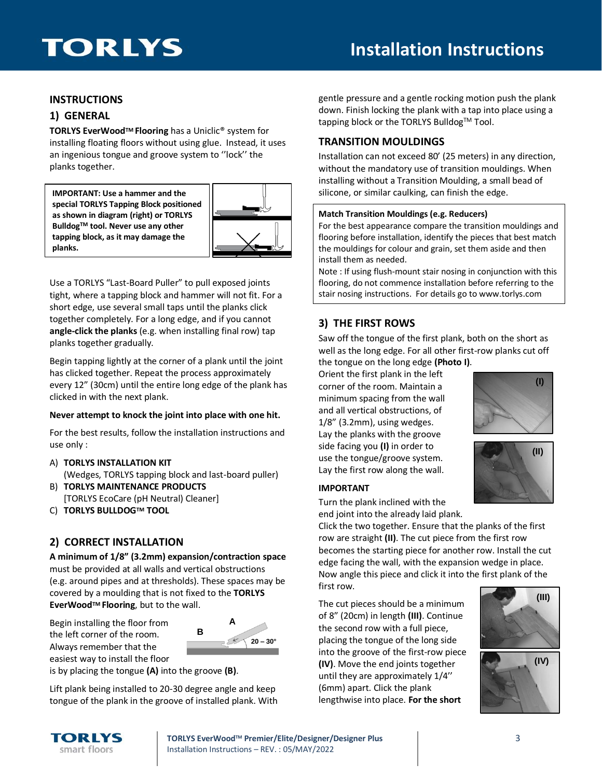# **Installation Instructions**

### **INSTRUCTIONS**

### **1) GENERAL**

**TORLYS EverWoodTM Flooring** has a Uniclic® system for installing floating floors without using glue. Instead, it uses an ingenious tongue and groove system to ''lock'' the planks together.

**IMPORTANT: Use a hammer and the special TORLYS Tapping Block positioned as shown in diagram (right) or TORLYS BulldogTM tool. Never use any other tapping block, as it may damage the planks.**



Use a TORLYS "Last-Board Puller" to pull exposed joints tight, where a tapping block and hammer will not fit. For a short edge, use several small taps until the planks click together completely. For a long edge, and if you cannot **angle-click the planks** (e.g. when installing final row) tap planks together gradually.

Begin tapping lightly at the corner of a plank until the joint has clicked together. Repeat the process approximately every 12" (30cm) until the entire long edge of the plank has clicked in with the next plank.

#### **Never attempt to knock the joint into place with one hit.**

For the best results, follow the installation instructions and use only :

- A) **TORLYS INSTALLATION KIT** (Wedges, TORLYS tapping block and last-board puller)
- B) **TORLYS MAINTENANCE PRODUCTS** [TORLYS EcoCare (pH Neutral) Cleaner]
- C) **TORLYS BULLDOGTM TOOL**

# **2) CORRECT INSTALLATION**

**A minimum of 1/8" (3.2mm) expansion/contraction space** must be provided at all walls and vertical obstructions (e.g. around pipes and at thresholds). These spaces may be covered by a moulding that is not fixed to the **TORLYS EverWoodTM Flooring**, but to the wall.

Begin installing the floor from the left corner of the room. Always remember that the easiest way to install the floor



is by placing the tongue **(A)** into the groove **(B)**.

Lift plank being installed to 20-30 degree angle and keep tongue of the plank in the groove of installed plank. With gentle pressure and a gentle rocking motion push the plank down. Finish locking the plank with a tap into place using a tapping block or the TORLYS Bulldog<sup>TM</sup> Tool.

### **TRANSITION MOULDINGS**

Installation can not exceed 80' (25 meters) in any direction, without the mandatory use of transition mouldings. When installing without a Transition Moulding, a small bead of silicone, or similar caulking, can finish the edge.

#### **Match Transition Mouldings (e.g. Reducers)**

For the best appearance compare the transition mouldings and flooring before installation, identify the pieces that best match the mouldings for colour and grain, set them aside and then install them as needed.

Note : If using flush-mount stair nosing in conjunction with this flooring, do not commence installation before referring to the stair nosing instructions. For details go to www.torlys.com

# **3) THE FIRST ROWS**

Saw off the tongue of the first plank, both on the short as well as the long edge. For all other first-row planks cut off the tongue on the long edge **(Photo I)**.

Orient the first plank in the left corner of the room. Maintain a minimum spacing from the wall and all vertical obstructions, of 1/8" (3.2mm), using wedges. Lay the planks with the groove side facing you **(I)** in order to use the tongue/groove system. Lay the first row along the wall.





#### **IMPORTANT**

Turn the plank inclined with the end joint into the already laid plank.

Click the two together. Ensure that the planks of the first row are straight **(II)**. The cut piece from the first row becomes the starting piece for another row. Install the cut edge facing the wall, with the expansion wedge in place. Now angle this piece and click it into the first plank of the first row.

The cut pieces should be a minimum of 8" (20cm) in length **(III)**. Continue the second row with a full piece, placing the tongue of the long side into the groove of the first-row piece **(IV)**. Move the end joints together until they are approximately 1/4'' (6mm) apart. Click the plank lengthwise into place. **For the short** 



TORLYS smart floors

**TORLYS EverWoodTM Premier/Elite/Designer/Designer Plus** 3 Installation Instructions – REV. : 05/MAY/2022